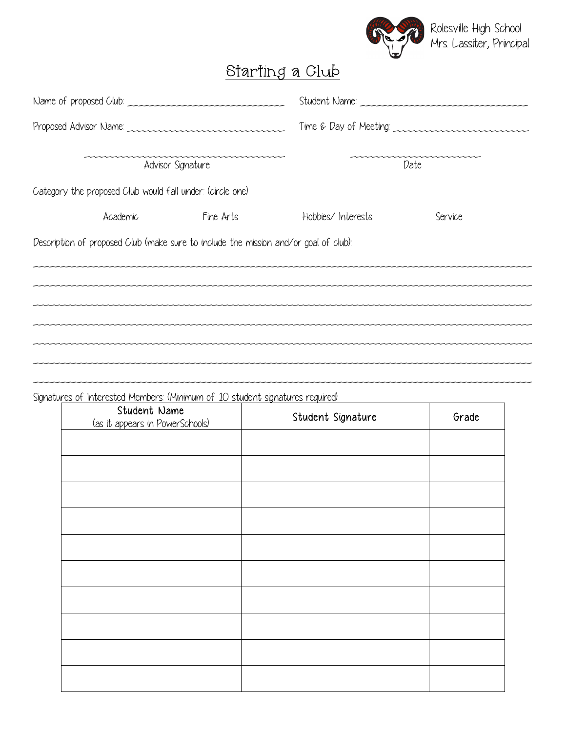

## Starting a Club

|                                                                                      |           |                    | Time & Day of Meeting: |  |  |
|--------------------------------------------------------------------------------------|-----------|--------------------|------------------------|--|--|
| Advisor Signature                                                                    |           | Date               |                        |  |  |
| Category the proposed Club would fall under: (circle one)                            |           |                    |                        |  |  |
| Academic                                                                             | Fine Arts | Hobbies/ Interests | Service                |  |  |
| Description of proposed Club (make sure to include the mission and/or goal of club): |           |                    |                        |  |  |
|                                                                                      |           |                    |                        |  |  |
|                                                                                      |           |                    |                        |  |  |
|                                                                                      |           |                    |                        |  |  |
|                                                                                      |           |                    |                        |  |  |
|                                                                                      |           |                    |                        |  |  |

\_\_\_\_\_\_\_\_\_\_\_\_\_\_\_\_\_\_\_\_\_\_\_\_\_\_\_\_\_\_\_\_\_\_\_\_\_\_\_\_\_\_\_\_\_\_\_\_\_\_\_\_\_\_\_\_\_\_\_\_\_\_\_\_\_\_\_\_\_\_\_\_\_\_\_\_\_\_\_\_\_\_\_\_\_\_\_\_\_\_\_\_

Signatures of Interested Members: (Minimum of 10 student signatures required)

| Student Name<br>(as it appears in PowerSchools) | Student Signature | Grade |
|-------------------------------------------------|-------------------|-------|
|                                                 |                   |       |
|                                                 |                   |       |
|                                                 |                   |       |
|                                                 |                   |       |
|                                                 |                   |       |
|                                                 |                   |       |
|                                                 |                   |       |
|                                                 |                   |       |
|                                                 |                   |       |
|                                                 |                   |       |